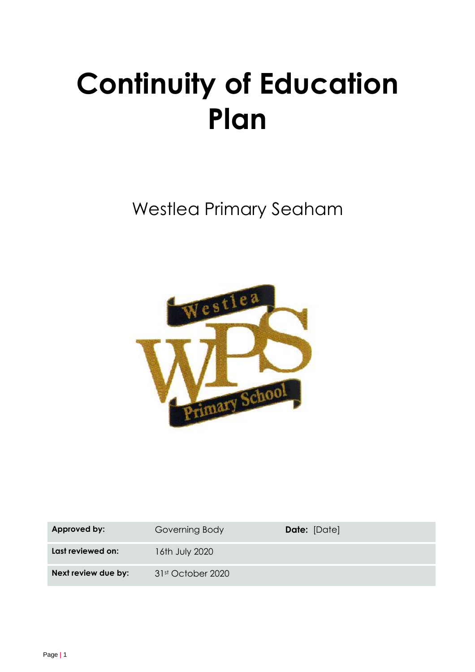# **Continuity of Education Plan**

Westlea Primary Seaham



| Approved by:        | Governing Body                | <b>Date:</b> [Date] |
|---------------------|-------------------------------|---------------------|
| Last reviewed on:   | 16th July 2020                |                     |
| Next review due by: | 31 <sup>st</sup> October 2020 |                     |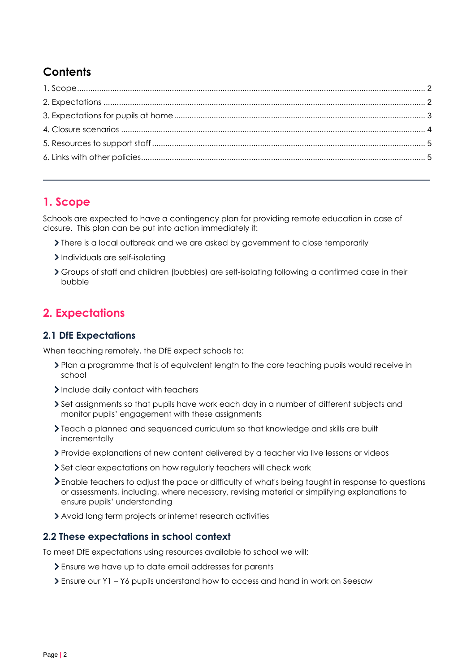# **Contents**

### <span id="page-1-0"></span>**1. Scope**

Schools are expected to have a contingency plan for providing remote education in case of closure. This plan can be put into action immediately if:

- There is a local outbreak and we are asked by government to close temporarily
- > Individuals are self-isolating
- Groups of staff and children (bubbles) are self-isolating following a confirmed case in their bubble

## <span id="page-1-1"></span>**2. Expectations**

#### **2.1 DfE Expectations**

When teaching remotely, the DfE expect schools to:

- Plan a programme that is of equivalent length to the core teaching pupils would receive in school
- Include daily contact with teachers
- Set assignments so that pupils have work each day in a number of different subjects and monitor pupils' engagement with these assignments
- Teach a planned and sequenced curriculum so that knowledge and skills are built incrementally
- Provide explanations of new content delivered by a teacher via live lessons or videos
- Set clear expectations on how regularly teachers will check work
- Enable teachers to adjust the pace or difficulty of what's being taught in response to questions or assessments, including, where necessary, revising material or simplifying explanations to ensure pupils' understanding
- Avoid long term projects or internet research activities

#### **2.2 These expectations in school context**

To meet DfE expectations using resources available to school we will:

- Ensure we have up to date email addresses for parents
- Ensure our Y1 Y6 pupils understand how to access and hand in work on Seesaw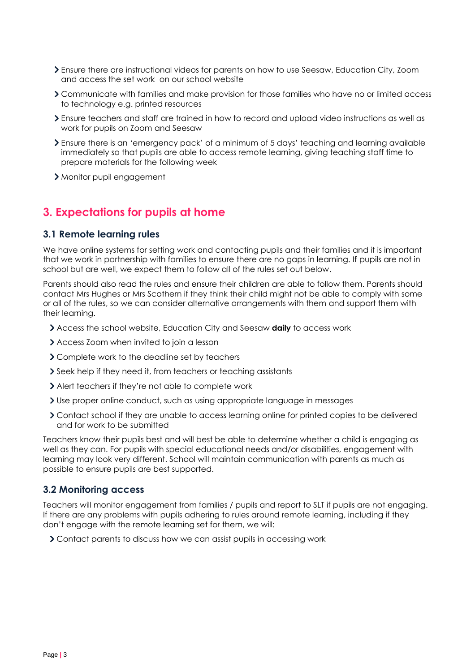- Ensure there are instructional videos for parents on how to use Seesaw, Education City, Zoom and access the set work on our school website
- Communicate with families and make provision for those families who have no or limited access to technology e.g. printed resources
- Ensure teachers and staff are trained in how to record and upload video instructions as well as work for pupils on Zoom and Seesaw
- Ensure there is an 'emergency pack' of a minimum of 5 days' teaching and learning available immediately so that pupils are able to access remote learning, giving teaching staff time to prepare materials for the following week
- Monitor pupil engagement

## <span id="page-2-0"></span>**3. Expectations for pupils at home**

#### **3.1 Remote learning rules**

We have online systems for setting work and contacting pupils and their families and it is important that we work in partnership with families to ensure there are no gaps in learning. If pupils are not in school but are well, we expect them to follow all of the rules set out below.

Parents should also read the rules and ensure their children are able to follow them. Parents should contact Mrs Hughes or Mrs Scothern if they think their child might not be able to comply with some or all of the rules, so we can consider alternative arrangements with them and support them with their learning.

- Access the school website, Education City and Seesaw **daily** to access work
- Access Zoom when invited to join a lesson
- Complete work to the deadline set by teachers
- Seek help if they need it, from teachers or teaching assistants
- Alert teachers if they're not able to complete work
- Use proper online conduct, such as using appropriate language in messages
- Contact school if they are unable to access learning online for printed copies to be delivered and for work to be submitted

Teachers know their pupils best and will best be able to determine whether a child is engaging as well as they can. For pupils with special educational needs and/or disabilities, engagement with learning may look very different. School will maintain communication with parents as much as possible to ensure pupils are best supported.

#### **3.2 Monitoring access**

Teachers will monitor engagement from families / pupils and report to SLT if pupils are not engaging. If there are any problems with pupils adhering to rules around remote learning, including if they don't engage with the remote learning set for them, we will:

<span id="page-2-1"></span>Contact parents to discuss how we can assist pupils in accessing work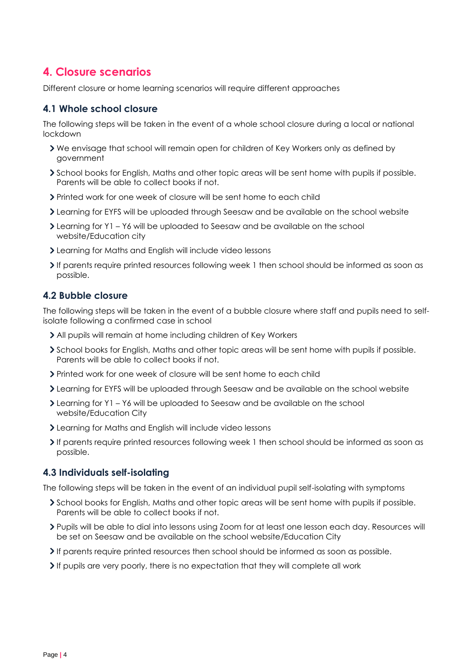## **4. Closure scenarios**

Different closure or home learning scenarios will require different approaches

#### **4.1 Whole school closure**

The following steps will be taken in the event of a whole school closure during a local or national lockdown

- We envisage that school will remain open for children of Key Workers only as defined by government
- School books for English, Maths and other topic areas will be sent home with pupils if possible. Parents will be able to collect books if not.
- Printed work for one week of closure will be sent home to each child
- Learning for EYFS will be uploaded through Seesaw and be available on the school website
- Learning for Y1 Y6 will be uploaded to Seesaw and be available on the school website/Education city
- Learning for Maths and English will include video lessons
- If parents require printed resources following week 1 then school should be informed as soon as possible.

#### **4.2 Bubble closure**

The following steps will be taken in the event of a bubble closure where staff and pupils need to selfisolate following a confirmed case in school

- All pupils will remain at home including children of Key Workers
- School books for English, Maths and other topic areas will be sent home with pupils if possible. Parents will be able to collect books if not.
- Printed work for one week of closure will be sent home to each child
- Learning for EYFS will be uploaded through Seesaw and be available on the school website
- Learning for Y1 Y6 will be uploaded to Seesaw and be available on the school website/Education City
- Learning for Maths and English will include video lessons
- If parents require printed resources following week 1 then school should be informed as soon as possible.

#### **4.3 Individuals self-isolating**

The following steps will be taken in the event of an individual pupil self-isolating with symptoms

- School books for English, Maths and other topic areas will be sent home with pupils if possible. Parents will be able to collect books if not.
- Pupils will be able to dial into lessons using Zoom for at least one lesson each day. Resources will be set on Seesaw and be available on the school website/Education City
- If parents require printed resources then school should be informed as soon as possible.
- $\ge$  If pupils are very poorly, there is no expectation that they will complete all work